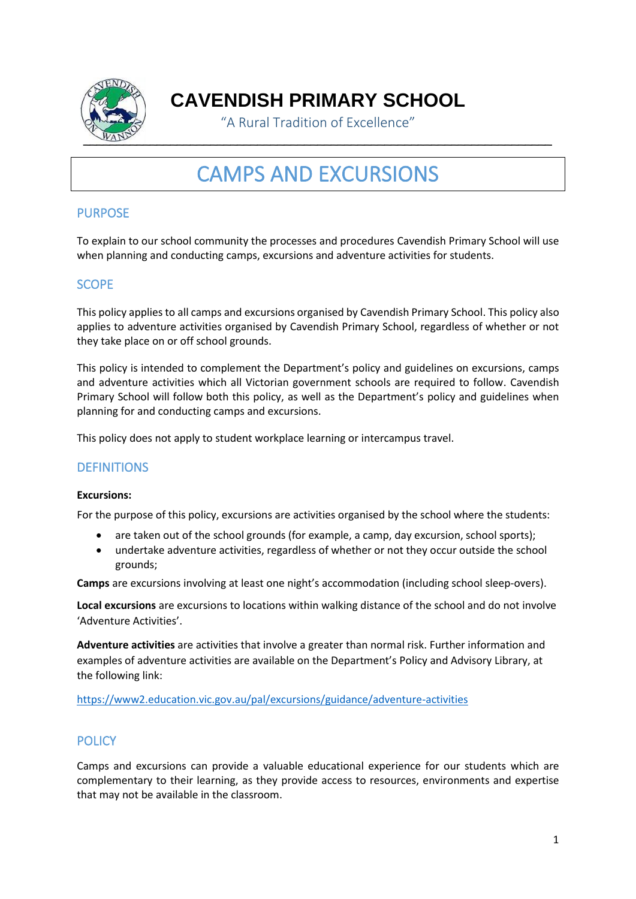

**CAVENDISH PRIMARY SCHOOL**

"A Rural Tradition of Excellence"

# CAMPS AND EXCURSIONS

## PURPOSE

To explain to our school community the processes and procedures Cavendish Primary School will use when planning and conducting camps, excursions and adventure activities for students.

## **SCOPE**

This policy applies to all camps and excursions organised by Cavendish Primary School. This policy also applies to adventure activities organised by Cavendish Primary School, regardless of whether or not they take place on or off school grounds.

This policy is intended to complement the Department's policy and guidelines on excursions, camps and adventure activities which all Victorian government schools are required to follow. Cavendish Primary School will follow both this policy, as well as the Department's policy and guidelines when planning for and conducting camps and excursions.

This policy does not apply to student workplace learning or intercampus travel.

## **DEFINITIONS**

#### **Excursions:**

For the purpose of this policy, excursions are activities organised by the school where the students:

- are taken out of the school grounds (for example, a camp, day excursion, school sports);
- undertake adventure activities, regardless of whether or not they occur outside the school grounds;

**Camps** are excursions involving at least one night's accommodation (including school sleep-overs).

**Local excursions** are excursions to locations within walking distance of the school and do not involve 'Adventure Activities'.

**Adventure activities** are activities that involve a greater than normal risk. Further information and examples of adventure activities are available on the Department's Policy and Advisory Library, at the following link:

<https://www2.education.vic.gov.au/pal/excursions/guidance/adventure-activities>

## **POLICY**

Camps and excursions can provide a valuable educational experience for our students which are complementary to their learning, as they provide access to resources, environments and expertise that may not be available in the classroom.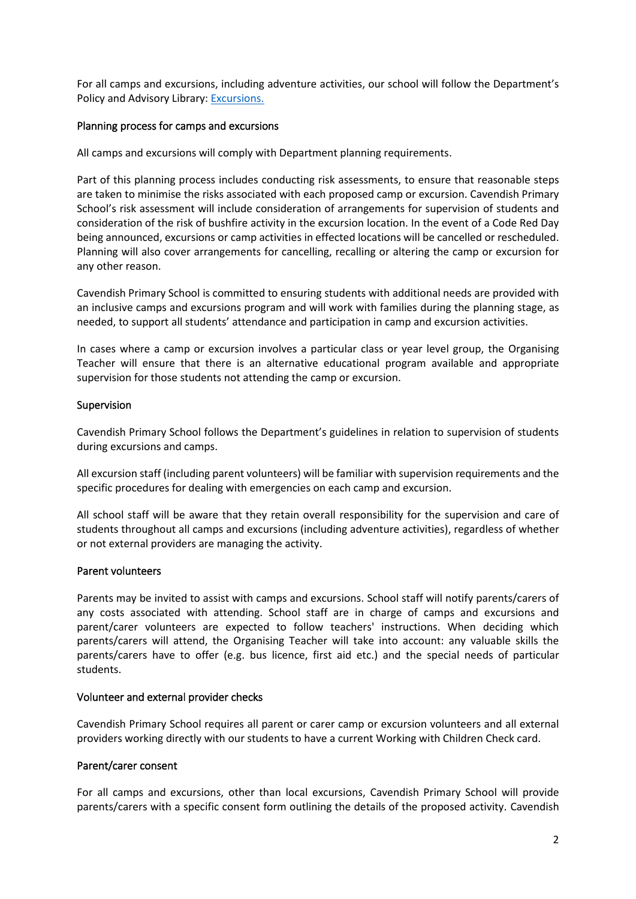For all camps and excursions, including adventure activities, our school will follow the Department's Policy and Advisory Library: [Excursions.](https://www2.education.vic.gov.au/pal/excursions/policy)

#### Planning process for camps and excursions

All camps and excursions will comply with Department planning requirements.

Part of this planning process includes conducting risk assessments, to ensure that reasonable steps are taken to minimise the risks associated with each proposed camp or excursion. Cavendish Primary School's risk assessment will include consideration of arrangements for supervision of students and consideration of the risk of bushfire activity in the excursion location. In the event of a Code Red Day being announced, excursions or camp activities in effected locations will be cancelled or rescheduled. Planning will also cover arrangements for cancelling, recalling or altering the camp or excursion for any other reason.

Cavendish Primary School is committed to ensuring students with additional needs are provided with an inclusive camps and excursions program and will work with families during the planning stage, as needed, to support all students' attendance and participation in camp and excursion activities.

In cases where a camp or excursion involves a particular class or year level group, the Organising Teacher will ensure that there is an alternative educational program available and appropriate supervision for those students not attending the camp or excursion.

#### Supervision

Cavendish Primary School follows the Department's guidelines in relation to supervision of students during excursions and camps.

All excursion staff (including parent volunteers) will be familiar with supervision requirements and the specific procedures for dealing with emergencies on each camp and excursion.

All school staff will be aware that they retain overall responsibility for the supervision and care of students throughout all camps and excursions (including adventure activities), regardless of whether or not external providers are managing the activity.

#### Parent volunteers

Parents may be invited to assist with camps and excursions. School staff will notify parents/carers of any costs associated with attending. School staff are in charge of camps and excursions and parent/carer volunteers are expected to follow teachers' instructions. When deciding which parents/carers will attend, the Organising Teacher will take into account: any valuable skills the parents/carers have to offer (e.g. bus licence, first aid etc.) and the special needs of particular students.

#### Volunteer and external provider checks

Cavendish Primary School requires all parent or carer camp or excursion volunteers and all external providers working directly with our students to have a current Working with Children Check card.

#### Parent/carer consent

For all camps and excursions, other than local excursions, Cavendish Primary School will provide parents/carers with a specific consent form outlining the details of the proposed activity. Cavendish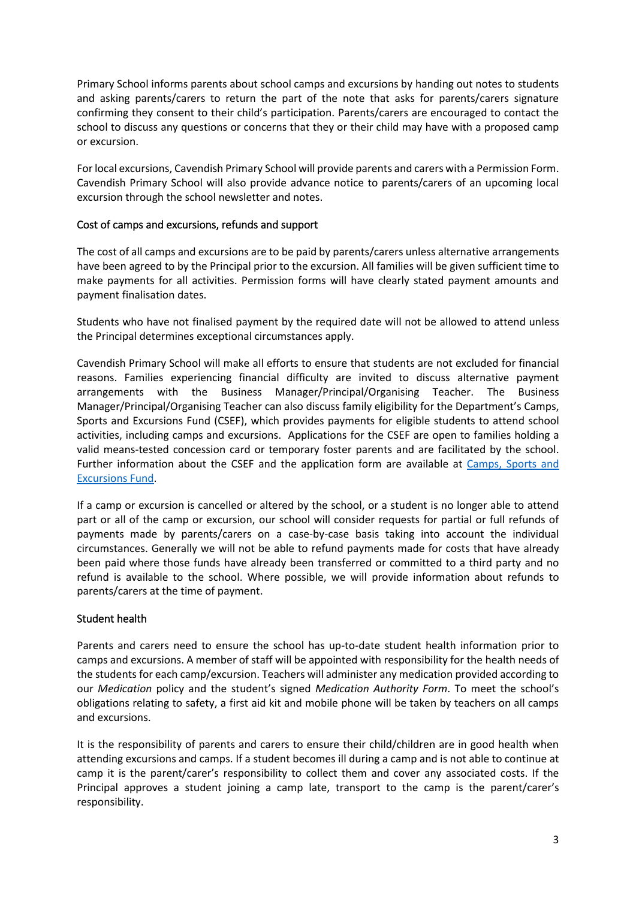Primary School informs parents about school camps and excursions by handing out notes to students and asking parents/carers to return the part of the note that asks for parents/carers signature confirming they consent to their child's participation. Parents/carers are encouraged to contact the school to discuss any questions or concerns that they or their child may have with a proposed camp or excursion.

For local excursions, Cavendish Primary School will provide parents and carers with a Permission Form. Cavendish Primary School will also provide advance notice to parents/carers of an upcoming local excursion through the school newsletter and notes.

#### Cost of camps and excursions, refunds and support

The cost of all camps and excursions are to be paid by parents/carers unless alternative arrangements have been agreed to by the Principal prior to the excursion. All families will be given sufficient time to make payments for all activities. Permission forms will have clearly stated payment amounts and payment finalisation dates.

Students who have not finalised payment by the required date will not be allowed to attend unless the Principal determines exceptional circumstances apply.

Cavendish Primary School will make all efforts to ensure that students are not excluded for financial reasons. Families experiencing financial difficulty are invited to discuss alternative payment arrangements with the Business Manager/Principal/Organising Teacher. The Business Manager/Principal/Organising Teacher can also discuss family eligibility for the Department's Camps, Sports and Excursions Fund (CSEF), which provides payments for eligible students to attend school activities, including camps and excursions. Applications for the CSEF are open to families holding a valid means-tested concession card or temporary foster parents and are facilitated by the school. Further information about the CSEF and the application form are available at [Camps, Sports and](https://www2.education.vic.gov.au/pal/camps-sports-and-excursions-fund/policy)  [Excursions Fund.](https://www2.education.vic.gov.au/pal/camps-sports-and-excursions-fund/policy)

If a camp or excursion is cancelled or altered by the school, or a student is no longer able to attend part or all of the camp or excursion, our school will consider requests for partial or full refunds of payments made by parents/carers on a case-by-case basis taking into account the individual circumstances. Generally we will not be able to refund payments made for costs that have already been paid where those funds have already been transferred or committed to a third party and no refund is available to the school. Where possible, we will provide information about refunds to parents/carers at the time of payment.

#### Student health

Parents and carers need to ensure the school has up-to-date student health information prior to camps and excursions. A member of staff will be appointed with responsibility for the health needs of the students for each camp/excursion. Teachers will administer any medication provided according to our *Medication* policy and the student's signed *Medication Authority Form*. To meet the school's obligations relating to safety, a first aid kit and mobile phone will be taken by teachers on all camps and excursions.

It is the responsibility of parents and carers to ensure their child/children are in good health when attending excursions and camps. If a student becomes ill during a camp and is not able to continue at camp it is the parent/carer's responsibility to collect them and cover any associated costs. If the Principal approves a student joining a camp late, transport to the camp is the parent/carer's responsibility.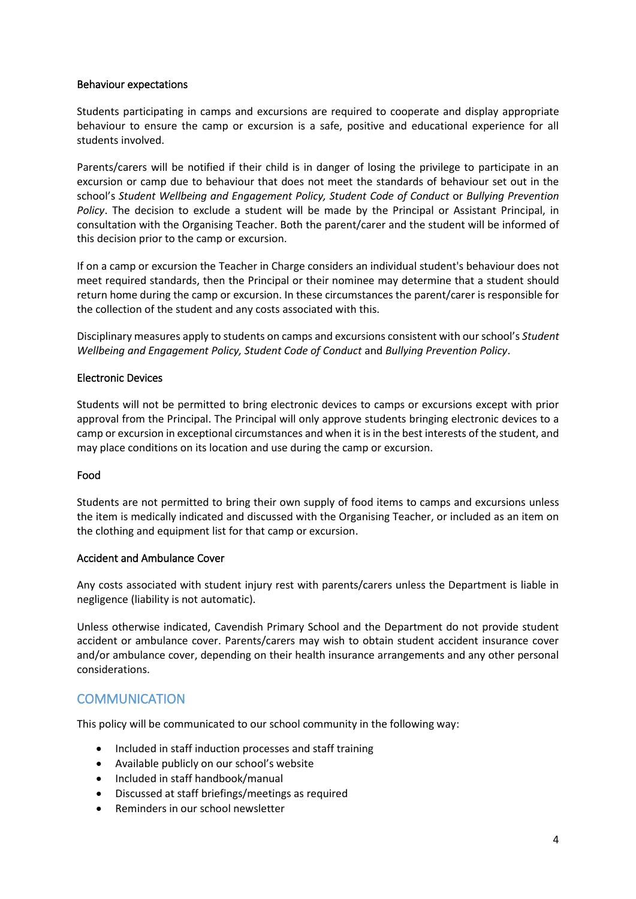#### Behaviour expectations

Students participating in camps and excursions are required to cooperate and display appropriate behaviour to ensure the camp or excursion is a safe, positive and educational experience for all students involved.

Parents/carers will be notified if their child is in danger of losing the privilege to participate in an excursion or camp due to behaviour that does not meet the standards of behaviour set out in the school's *Student Wellbeing and Engagement Policy, Student Code of Conduct* or *Bullying Prevention Policy*. The decision to exclude a student will be made by the Principal or Assistant Principal, in consultation with the Organising Teacher. Both the parent/carer and the student will be informed of this decision prior to the camp or excursion.

If on a camp or excursion the Teacher in Charge considers an individual student's behaviour does not meet required standards, then the Principal or their nominee may determine that a student should return home during the camp or excursion. In these circumstances the parent/carer is responsible for the collection of the student and any costs associated with this.

Disciplinary measures apply to students on camps and excursions consistent with our school's *Student Wellbeing and Engagement Policy, Student Code of Conduct* and *Bullying Prevention Policy*.

#### Electronic Devices

Students will not be permitted to bring electronic devices to camps or excursions except with prior approval from the Principal. The Principal will only approve students bringing electronic devices to a camp or excursion in exceptional circumstances and when it is in the best interests of the student, and may place conditions on its location and use during the camp or excursion.

#### Food

Students are not permitted to bring their own supply of food items to camps and excursions unless the item is medically indicated and discussed with the Organising Teacher, or included as an item on the clothing and equipment list for that camp or excursion.

#### Accident and Ambulance Cover

Any costs associated with student injury rest with parents/carers unless the Department is liable in negligence (liability is not automatic).

Unless otherwise indicated, Cavendish Primary School and the Department do not provide student accident or ambulance cover. Parents/carers may wish to obtain student accident insurance cover and/or ambulance cover, depending on their health insurance arrangements and any other personal considerations.

## **COMMUNICATION**

This policy will be communicated to our school community in the following way:

- Included in staff induction processes and staff training
- Available publicly on our school's website
- Included in staff handbook/manual
- Discussed at staff briefings/meetings as required
- Reminders in our school newsletter